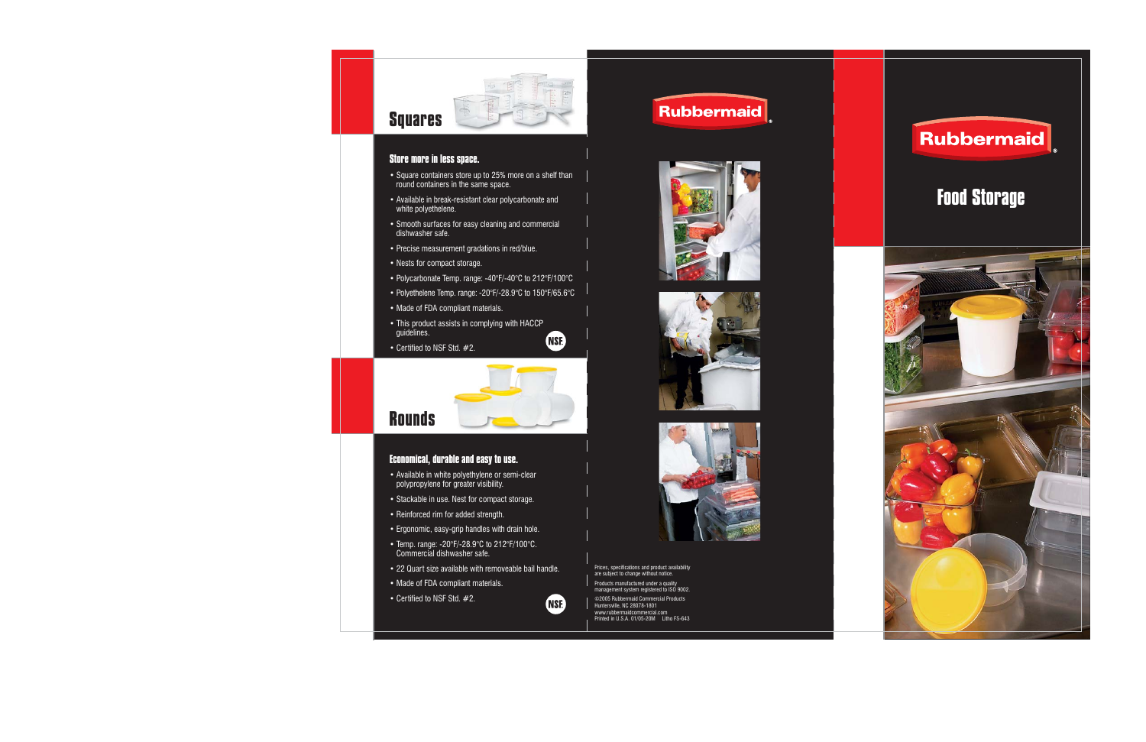

# **Squares**

### **Store more in less space.**

- Square containers store up to 25% more on a shelf than round containers in the same space.
- Available in break-resistant clear polycarbonate and white polyethelene.
- Smooth surfaces for easy cleaning and commercial dishwasher safe.
- Precise measurement gradations in red/blue.
- Nests for compact storage.
- Polycarbonate Temp. range: -40°F/-40°C to 212°F/100°C
- Polyethelene Temp. range: -20°F/-28.9°C to 150°F/65.6°C
- Made of FDA compliant materials.
- This product assists in complying with HACCP guidelines. **NSE**
- Certified to NSF Std. #2.



### **Rounds**

#### **Economical, durable and easy to use.**

- Available in white polyethylene or semi-clear polypropylene for greater visibility.
- Stackable in use. Nest for compact storage.
- Reinforced rim for added strength.
- Ergonomic, easy-grip handles with drain hole.
- Temp. range: -20°F/-28.9°C to 212°F/100°C. Commercial dishwasher safe.
- 22 Quart size available with removeable bail handle.
- Made of FDA compliant materials.
- Certified to NSF Std. #2.









Prices, specifications and product availability are subject to change without notice.

Products manufactured under a quality management system registered to ISO 9002.

©2005 Rubbermaid Commercial ProductsHuntersville, NC 28078-1801 www.rubbermaidcommercial.comPrinted in U.S.A. 01/05-20M Litho FS-643



## **Food Storage**